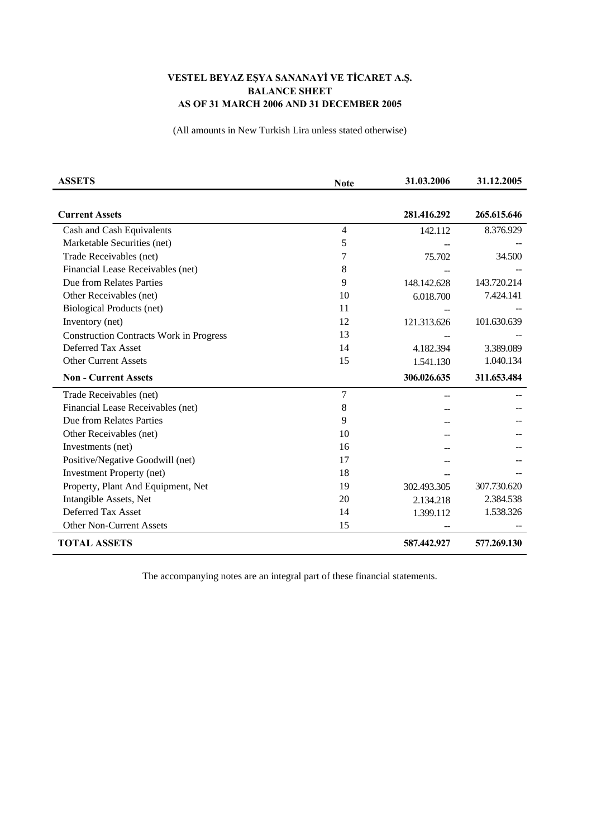## **VESTEL BEYAZ EŞYA SANANAYİ VE TİCARET A.Ş. BALANCE SHEET AS OF 31 MARCH 2006 AND 31 DECEMBER 2005**

(All amounts in New Turkish Lira unless stated otherwise)

| <b>ASSETS</b>                                  | <b>Note</b> | 31.03.2006  | 31.12.2005  |
|------------------------------------------------|-------------|-------------|-------------|
|                                                |             |             |             |
| <b>Current Assets</b>                          |             | 281.416.292 | 265.615.646 |
| Cash and Cash Equivalents                      | 4           | 142.112     | 8.376.929   |
| Marketable Securities (net)                    | 5           |             |             |
| Trade Receivables (net)                        | 7           | 75.702      | 34.500      |
| Financial Lease Receivables (net)              | 8           |             |             |
| Due from Relates Parties                       | 9           | 148.142.628 | 143.720.214 |
| Other Receivables (net)                        | 10          | 6.018.700   | 7.424.141   |
| <b>Biological Products (net)</b>               | 11          |             |             |
| Inventory (net)                                | 12          | 121.313.626 | 101.630.639 |
| <b>Construction Contracts Work in Progress</b> | 13          |             |             |
| Deferred Tax Asset                             | 14          | 4.182.394   | 3.389.089   |
| <b>Other Current Assets</b>                    | 15          | 1.541.130   | 1.040.134   |
| <b>Non - Current Assets</b>                    |             | 306.026.635 | 311.653.484 |
| Trade Receivables (net)                        | 7           |             |             |
| Financial Lease Receivables (net)              | 8           |             |             |
| Due from Relates Parties                       | 9           |             |             |
| Other Receivables (net)                        | 10          |             |             |
| Investments (net)                              | 16          |             |             |
| Positive/Negative Goodwill (net)               | 17          |             |             |
| <b>Investment Property (net)</b>               | 18          |             |             |
| Property, Plant And Equipment, Net             | 19          | 302.493.305 | 307.730.620 |
| Intangible Assets, Net                         | 20          | 2.134.218   | 2.384.538   |
| Deferred Tax Asset                             | 14          | 1.399.112   | 1.538.326   |
| <b>Other Non-Current Assets</b>                | 15          |             |             |
| <b>TOTAL ASSETS</b>                            |             | 587.442.927 | 577.269.130 |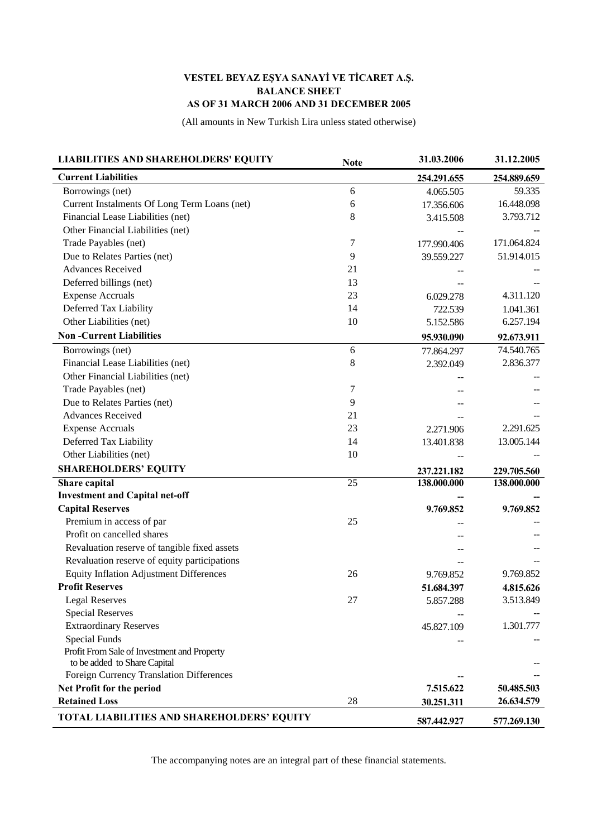## **VESTEL BEYAZ EŞYA SANAYİ VE TİCARET A.Ş. BALANCE SHEET AS OF 31 MARCH 2006 AND 31 DECEMBER 2005**

(All amounts in New Turkish Lira unless stated otherwise)

| <b>LIABILITIES AND SHAREHOLDERS' EQUITY</b>    | <b>Note</b> | 31.03.2006  | 31.12.2005  |
|------------------------------------------------|-------------|-------------|-------------|
| <b>Current Liabilities</b>                     |             | 254.291.655 | 254.889.659 |
| Borrowings (net)                               | 6           | 4.065.505   | 59.335      |
| Current Instalments Of Long Term Loans (net)   | 6           | 17.356.606  | 16.448.098  |
| Financial Lease Liabilities (net)              | 8           | 3.415.508   | 3.793.712   |
| Other Financial Liabilities (net)              |             |             |             |
| Trade Payables (net)                           | 7           | 177.990.406 | 171.064.824 |
| Due to Relates Parties (net)                   | 9           | 39.559.227  | 51.914.015  |
| <b>Advances Received</b>                       | 21          |             |             |
| Deferred billings (net)                        | 13          |             |             |
| <b>Expense Accruals</b>                        | 23          | 6.029.278   | 4.311.120   |
| Deferred Tax Liability                         | 14          | 722.539     | 1.041.361   |
| Other Liabilities (net)                        | 10          | 5.152.586   | 6.257.194   |
| <b>Non-Current Liabilities</b>                 |             | 95.930.090  | 92.673.911  |
| Borrowings (net)                               | 6           | 77.864.297  | 74.540.765  |
| Financial Lease Liabilities (net)              | $\,8\,$     | 2.392.049   | 2.836.377   |
| Other Financial Liabilities (net)              |             |             |             |
| Trade Payables (net)                           | 7           |             |             |
| Due to Relates Parties (net)                   | 9           |             |             |
| <b>Advances Received</b>                       | 21          |             |             |
| <b>Expense Accruals</b>                        | 23          | 2.271.906   | 2.291.625   |
| Deferred Tax Liability                         | 14          | 13.401.838  | 13.005.144  |
| Other Liabilities (net)                        | 10          |             |             |
| <b>SHAREHOLDERS' EQUITY</b>                    |             | 237.221.182 | 229.705.560 |
| Share capital                                  | 25          | 138.000.000 | 138.000.000 |
| <b>Investment and Capital net-off</b>          |             |             |             |
| <b>Capital Reserves</b>                        |             | 9.769.852   | 9.769.852   |
| Premium in access of par                       | 25          |             |             |
| Profit on cancelled shares                     |             |             |             |
| Revaluation reserve of tangible fixed assets   |             |             |             |
| Revaluation reserve of equity participations   |             |             |             |
| <b>Equity Inflation Adjustment Differences</b> | 26          | 9.769.852   | 9.769.852   |
| <b>Profit Reserves</b>                         |             | 51.684.397  | 4.815.626   |
| <b>Legal Reserves</b>                          | 27          | 5.857.288   | 3.513.849   |
| <b>Special Reserves</b>                        |             |             |             |
| <b>Extraordinary Reserves</b>                  |             | 45.827.109  | 1.301.777   |
| <b>Special Funds</b>                           |             |             |             |
| Profit From Sale of Investment and Property    |             |             |             |
| to be added to Share Capital                   |             |             |             |
| Foreign Currency Translation Differences       |             |             |             |
| Net Profit for the period                      |             | 7.515.622   | 50.485.503  |
| <b>Retained Loss</b>                           | 28          | 30.251.311  | 26.634.579  |
| TOTAL LIABILITIES AND SHAREHOLDERS' EQUITY     |             | 587.442.927 | 577.269.130 |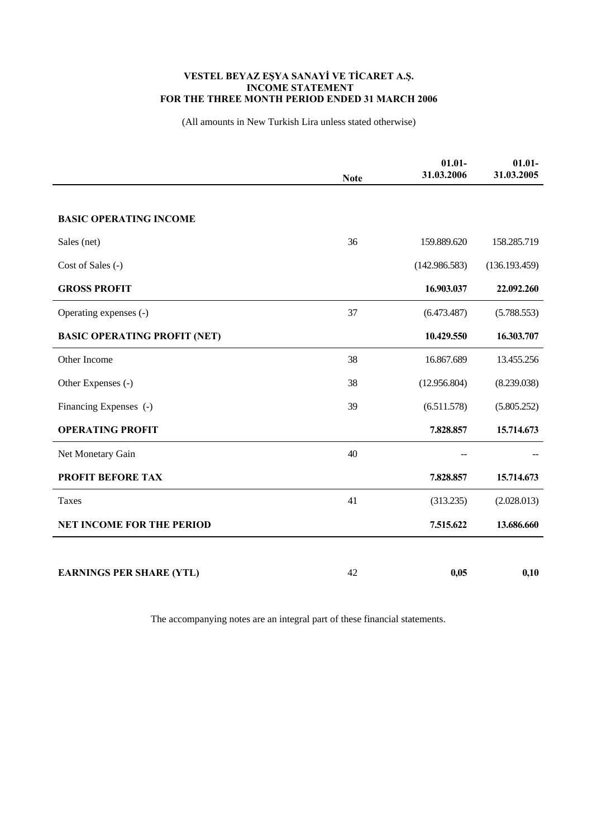## **VESTEL BEYAZ EŞYA SANAYİ VE TİCARET A.Ş. INCOME STATEMENT FOR THE THREE MONTH PERIOD ENDED 31 MARCH 2006**

(All amounts in New Turkish Lira unless stated otherwise)

|                                     | <b>Note</b> | $01.01 -$<br>31.03.2006 | $01.01 -$<br>31.03.2005 |
|-------------------------------------|-------------|-------------------------|-------------------------|
|                                     |             |                         |                         |
| <b>BASIC OPERATING INCOME</b>       |             |                         |                         |
| Sales (net)                         | 36          | 159.889.620             | 158.285.719             |
| Cost of Sales (-)                   |             | (142.986.583)           | (136.193.459)           |
| <b>GROSS PROFIT</b>                 |             | 16.903.037              | 22.092.260              |
| Operating expenses (-)              | 37          | (6.473.487)             | (5.788.553)             |
| <b>BASIC OPERATING PROFIT (NET)</b> |             | 10.429.550              | 16.303.707              |
| Other Income                        | 38          | 16.867.689              | 13.455.256              |
| Other Expenses (-)                  | 38          | (12.956.804)            | (8.239.038)             |
| Financing Expenses (-)              | 39          | (6.511.578)             | (5.805.252)             |
| <b>OPERATING PROFIT</b>             |             | 7.828.857               | 15.714.673              |
| Net Monetary Gain                   | 40          |                         |                         |
| <b>PROFIT BEFORE TAX</b>            |             | 7.828.857               | 15.714.673              |
| Taxes                               | 41          | (313.235)               | (2.028.013)             |
| <b>NET INCOME FOR THE PERIOD</b>    |             | 7.515.622               | 13.686.660              |
|                                     |             |                         |                         |
| <b>EARNINGS PER SHARE (YTL)</b>     | 42          | 0,05                    | 0,10                    |